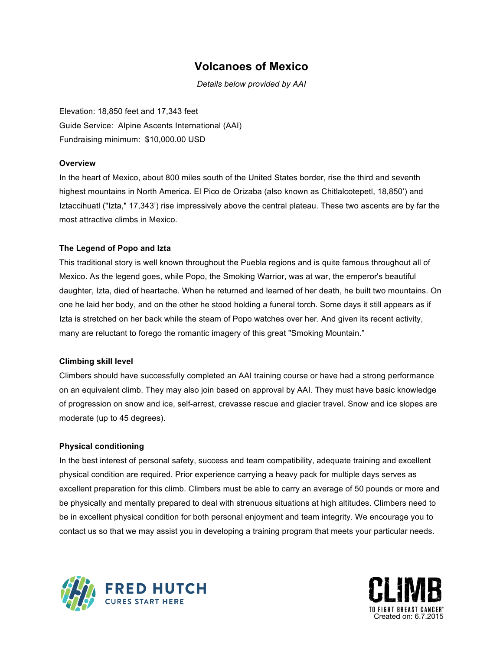### **Volcanoes of Mexico**

*Details below provided by AAI*

Elevation: 18,850 feet and 17,343 feet Guide Service: Alpine Ascents International (AAI) Fundraising minimum: \$10,000.00 USD

#### **Overview**

In the heart of Mexico, about 800 miles south of the United States border, rise the third and seventh highest mountains in North America. El Pico de Orizaba (also known as Chitlalcotepetl, 18,850') and Iztaccihuatl ("Izta," 17,343') rise impressively above the central plateau. These two ascents are by far the most attractive climbs in Mexico.

### **The Legend of Popo and Izta**

This traditional story is well known throughout the Puebla regions and is quite famous throughout all of Mexico. As the legend goes, while Popo, the Smoking Warrior, was at war, the emperor's beautiful daughter, Izta, died of heartache. When he returned and learned of her death, he built two mountains. On one he laid her body, and on the other he stood holding a funeral torch. Some days it still appears as if Izta is stretched on her back while the steam of Popo watches over her. And given its recent activity, many are reluctant to forego the romantic imagery of this great "Smoking Mountain."

#### **Climbing skill level**

Climbers should have successfully completed an AAI training course or have had a strong performance on an equivalent climb. They may also join based on approval by AAI. They must have basic knowledge of progression on snow and ice, self-arrest, crevasse rescue and glacier travel. Snow and ice slopes are moderate (up to 45 degrees).

#### **Physical conditioning**

In the best interest of personal safety, success and team compatibility, adequate training and excellent physical condition are required. Prior experience carrying a heavy pack for multiple days serves as excellent preparation for this climb. Climbers must be able to carry an average of 50 pounds or more and be physically and mentally prepared to deal with strenuous situations at high altitudes. Climbers need to be in excellent physical condition for both personal enjoyment and team integrity. We encourage you to contact us so that we may assist you in developing a training program that meets your particular needs.



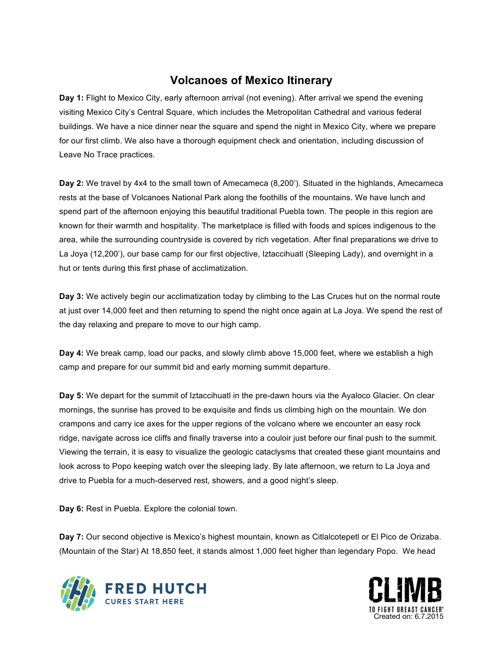# **Volcanoes of Mexico Itinerary**

**Day 1:** Flight to Mexico City, early afternoon arrival (not evening). After arrival we spend the evening visiting Mexico City's Central Square, which includes the Metropolitan Cathedral and various federal buildings. We have a nice dinner near the square and spend the night in Mexico City, where we prepare for our first climb. We also have a thorough equipment check and orientation, including discussion of Leave No Trace practices.

**Day 2:** We travel by 4x4 to the small town of Amecameca (8,200'). Situated in the highlands, Amecameca rests at the base of Volcanoes National Park along the foothills of the mountains. We have lunch and spend part of the afternoon enjoying this beautiful traditional Puebla town. The people in this region are known for their warmth and hospitality. The marketplace is filled with foods and spices indigenous to the area, while the surrounding countryside is covered by rich vegetation. After final preparations we drive to La Joya (12,200'), our base camp for our first objective, Iztaccihuatl (Sleeping Lady), and overnight in a hut or tents during this first phase of acclimatization.

**Day 3:** We actively begin our acclimatization today by climbing to the Las Cruces hut on the normal route at just over 14,000 feet and then returning to spend the night once again at La Joya. We spend the rest of the day relaxing and prepare to move to our high camp.

**Day 4:** We break camp, load our packs, and slowly climb above 15,000 feet, where we establish a high camp and prepare for our summit bid and early morning summit departure.

**Day 5:** We depart for the summit of Iztaccihuatl in the pre-dawn hours via the Ayaloco Glacier. On clear mornings, the sunrise has proved to be exquisite and finds us climbing high on the mountain. We don crampons and carry ice axes for the upper regions of the volcano where we encounter an easy rock ridge, navigate across ice cliffs and finally traverse into a couloir just before our final push to the summit. Viewing the terrain, it is easy to visualize the geologic cataclysms that created these giant mountains and look across to Popo keeping watch over the sleeping lady. By late afternoon, we return to La Joya and drive to Puebla for a much-deserved rest, showers, and a good night's sleep.

**Day 6:** Rest in Puebla. Explore the colonial town.

**Day 7:** Our second objective is Mexico's highest mountain, known as Citlalcotepetl or El Pico de Orizaba. (Mountain of the Star) At 18,850 feet, it stands almost 1,000 feet higher than legendary Popo. We head